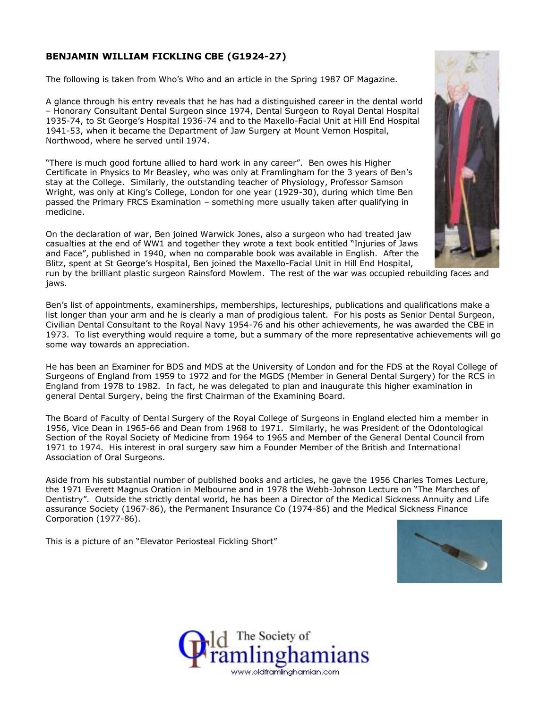## **BENJAMIN WILLIAM FICKLING CBE (G1924-27)**

The following is taken from Who's Who and an article in the Spring 1987 OF Magazine.

A glance through his entry reveals that he has had a distinguished career in the dental world – Honorary Consultant Dental Surgeon since 1974, Dental Surgeon to Royal Dental Hospital 1935-74, to St George's Hospital 1936-74 and to the Maxello-Facial Unit at Hill End Hospital 1941-53, when it became the Department of Jaw Surgery at Mount Vernon Hospital, Northwood, where he served until 1974.

"There is much good fortune allied to hard work in any career". Ben owes his Higher Certificate in Physics to Mr Beasley, who was only at Framlingham for the 3 years of Ben's stay at the College. Similarly, the outstanding teacher of Physiology, Professor Samson Wright, was only at King's College, London for one year (1929-30), during which time Ben passed the Primary FRCS Examination – something more usually taken after qualifying in medicine.

On the declaration of war, Ben joined Warwick Jones, also a surgeon who had treated jaw casualties at the end of WW1 and together they wrote a text book entitled "Injuries of Jaws and Face", published in 1940, when no comparable book was available in English. After the Blitz, spent at St George's Hospital, Ben joined the Maxello-Facial Unit in Hill End Hospital, run by the brilliant plastic surgeon Rainsford Mowlem. The rest of the war was occupied rebuilding faces and

jaws.

Ben's list of appointments, examinerships, memberships, lectureships, publications and qualifications make a list longer than your arm and he is clearly a man of prodigious talent. For his posts as Senior Dental Surgeon, Civilian Dental Consultant to the Royal Navy 1954-76 and his other achievements, he was awarded the CBE in 1973. To list everything would require a tome, but a summary of the more representative achievements will go some way towards an appreciation.

He has been an Examiner for BDS and MDS at the University of London and for the FDS at the Royal College of Surgeons of England from 1959 to 1972 and for the MGDS (Member in General Dental Surgery) for the RCS in England from 1978 to 1982. In fact, he was delegated to plan and inaugurate this higher examination in general Dental Surgery, being the first Chairman of the Examining Board.

The Board of Faculty of Dental Surgery of the Royal College of Surgeons in England elected him a member in 1956, Vice Dean in 1965-66 and Dean from 1968 to 1971. Similarly, he was President of the Odontological Section of the Royal Society of Medicine from 1964 to 1965 and Member of the General Dental Council from 1971 to 1974. His interest in oral surgery saw him a Founder Member of the British and International Association of Oral Surgeons.

Aside from his substantial number of published books and articles, he gave the 1956 Charles Tomes Lecture, the 1971 Everett Magnus Oration in Melbourne and in 1978 the Webb-Johnson Lecture on "The Marches of Dentistry". Outside the strictly dental world, he has been a Director of the Medical Sickness Annuity and Life assurance Society (1967-86), the Permanent Insurance Co (1974-86) and the Medical Sickness Finance Corporation (1977-86).

This is a picture of an "Elevator Periosteal Fickling Short"





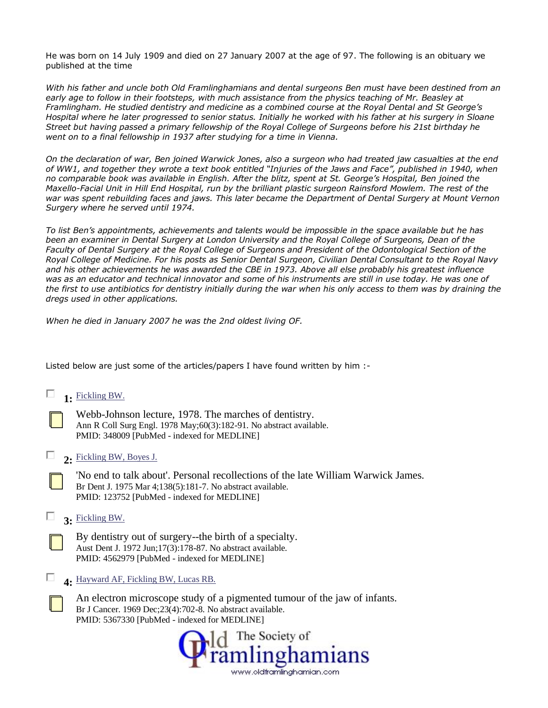He was born on 14 July 1909 and died on 27 January 2007 at the age of 97. The following is an obituary we published at the time

*With his father and uncle both Old Framlinghamians and dental surgeons Ben must have been destined from an early age to follow in their footsteps, with much assistance from the physics teaching of Mr. Beasley at Framlingham. He studied dentistry and medicine as a combined course at the Royal Dental and St George's Hospital where he later progressed to senior status. Initially he worked with his father at his surgery in Sloane Street but having passed a primary fellowship of the Royal College of Surgeons before his 21st birthday he went on to a final fellowship in 1937 after studying for a time in Vienna.* 

*On the declaration of war, Ben joined Warwick Jones, also a surgeon who had treated jaw casualties at the end*  of WW1, and together they wrote a text book entitled "Injuries of the Jaws and Face", published in 1940, when *no comparable book was available in English. After the blitz, spent at St. George's Hospital, Ben joined the Maxello-Facial Unit in Hill End Hospital, run by the brilliant plastic surgeon Rainsford Mowlem. The rest of the war was spent rebuilding faces and jaws. This later became the Department of Dental Surgery at Mount Vernon Surgery where he served until 1974.*

To list Ben's appointments, achievements and talents would be impossible in the space available but he has *been an examiner in Dental Surgery at London University and the Royal College of Surgeons, Dean of the Faculty of Dental Surgery at the Royal College of Surgeons and President of the Odontological Section of the Royal College of Medicine. For his posts as Senior Dental Surgeon, Civilian Dental Consultant to the Royal Navy and his other achievements he was awarded the CBE in 1973. Above all else probably his greatest influence*  was as an educator and technical innovator and some of his instruments are still in use today. He was one of *the first to use antibiotics for dentistry initially during the war when his only access to them was by draining the dregs used in other applications.*

*When he died in January 2007 he was the 2nd oldest living OF.* 

**1:** [Fickling BW.](http://www.ncbi.nlm.nih.gov/entrez/query.fcgi?db=pubmed&cmd=Retrieve&dopt=AbstractPlus&list_uids=348009&query_hl=2&itool=pubmed_docsum)

ш

Listed below are just some of the articles/papers I have found written by him :-

| $1.$ FICKHIIIg DW.                                                                                                                                                                             |
|------------------------------------------------------------------------------------------------------------------------------------------------------------------------------------------------|
| Webb-Johnson lecture, 1978. The marches of dentistry.<br>Ann R Coll Surg Engl. 1978 May;60(3):182-91. No abstract available.<br>PMID: 348009 [PubMed - indexed for MEDLINE]                    |
| 2. Fickling BW, Boyes J.                                                                                                                                                                       |
| 'No end to talk about'. Personal recollections of the late William Warwick James.<br>Br Dent J. 1975 Mar 4;138(5):181-7. No abstract available.<br>PMID: 123752 [PubMed - indexed for MEDLINE] |
| 3. Fickling BW.                                                                                                                                                                                |
| By dentistry out of surgery-the birth of a specialty.<br>Aust Dent J. 1972 Jun; 17(3): 178-87. No abstract available.<br>PMID: 4562979 [PubMed - indexed for MEDLINE]                          |
| 4: Hayward AF, Fickling BW, Lucas RB.                                                                                                                                                          |
| An electron microscope study of a pigmented tumour of the jaw of infants.<br>Br J Cancer. 1969 Dec; 23(4): 702-8. No abstract available.<br>PMID: 5367330 [PubMed - indexed for MEDLINE]       |
| The Society of                                                                                                                                                                                 |

www.oldframlinghamian.com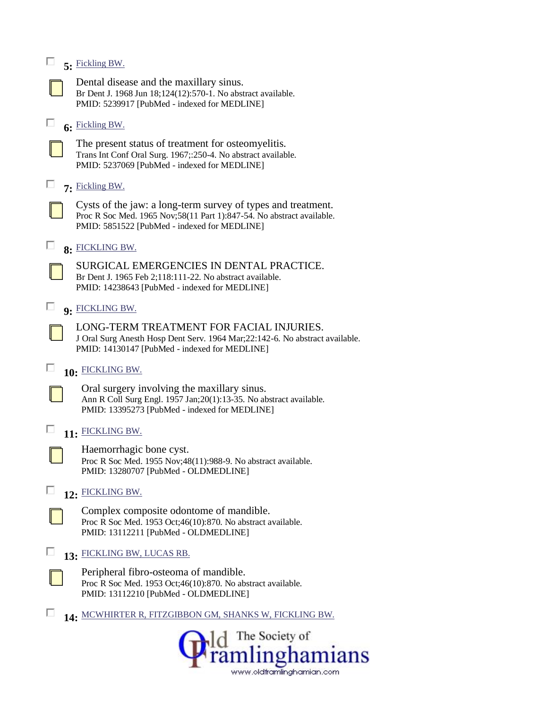| 5: Fickling BW.                                                                                                                                                                       |  |  |  |  |  |
|---------------------------------------------------------------------------------------------------------------------------------------------------------------------------------------|--|--|--|--|--|
| Dental disease and the maxillary sinus.<br>Br Dent J. 1968 Jun 18;124(12):570-1. No abstract available.<br>PMID: 5239917 [PubMed - indexed for MEDLINE]                               |  |  |  |  |  |
| 6: Fickling BW.                                                                                                                                                                       |  |  |  |  |  |
| The present status of treatment for osteomyelitis.<br>Trans Int Conf Oral Surg. 1967;:250-4. No abstract available.<br>PMID: 5237069 [PubMed - indexed for MEDLINE]                   |  |  |  |  |  |
| L.<br>7: Fickling BW.                                                                                                                                                                 |  |  |  |  |  |
| Cysts of the jaw: a long-term survey of types and treatment.<br>Proc R Soc Med. 1965 Nov;58(11 Part 1):847-54. No abstract available.<br>PMID: 5851522 [PubMed - indexed for MEDLINE] |  |  |  |  |  |
| 8: FICKLING BW.                                                                                                                                                                       |  |  |  |  |  |
| SURGICAL EMERGENCIES IN DENTAL PRACTICE.<br>Br Dent J. 1965 Feb 2;118:111-22. No abstract available.<br>PMID: 14238643 [PubMed - indexed for MEDLINE]                                 |  |  |  |  |  |
| 9. FICKLING BW.                                                                                                                                                                       |  |  |  |  |  |
| LONG-TERM TREATMENT FOR FACIAL INJURIES.<br>J Oral Surg Anesth Hosp Dent Serv. 1964 Mar; 22:142-6. No abstract available.<br>PMID: 14130147 [PubMed - indexed for MEDLINE]            |  |  |  |  |  |
| 10: FICKLING BW.                                                                                                                                                                      |  |  |  |  |  |
| Oral surgery involving the maxillary sinus.<br>Ann R Coll Surg Engl. 1957 Jan; 20(1): 13-35. No abstract available.<br>PMID: 13395273 [PubMed - indexed for MEDLINE]                  |  |  |  |  |  |
| 11: FICKLING BW.                                                                                                                                                                      |  |  |  |  |  |
| Haemorrhagic bone cyst.<br>Proc R Soc Med. 1955 Nov; 48(11): 988-9. No abstract available.<br>PMID: 13280707 [PubMed - OLDMEDLINE]                                                    |  |  |  |  |  |
| 12: FICKLING BW.                                                                                                                                                                      |  |  |  |  |  |
| Complex composite odontome of mandible.<br>Proc R Soc Med. 1953 Oct;46(10):870. No abstract available.<br>PMID: 13112211 [PubMed - OLDMEDLINE]                                        |  |  |  |  |  |
| 13: FICKLING BW, LUCAS RB.                                                                                                                                                            |  |  |  |  |  |
| Peripheral fibro-osteoma of mandible.<br>Proc R Soc Med. 1953 Oct;46(10):870. No abstract available.<br>PMID: 13112210 [PubMed - OLDMEDLINE]                                          |  |  |  |  |  |
| 14: MCWHIRTER R, FITZGIBBON GM, SHANKS W, FICKLING BW.                                                                                                                                |  |  |  |  |  |
| The Society of<br>ramlinghamians<br>www.oldframlinghamian.com                                                                                                                         |  |  |  |  |  |